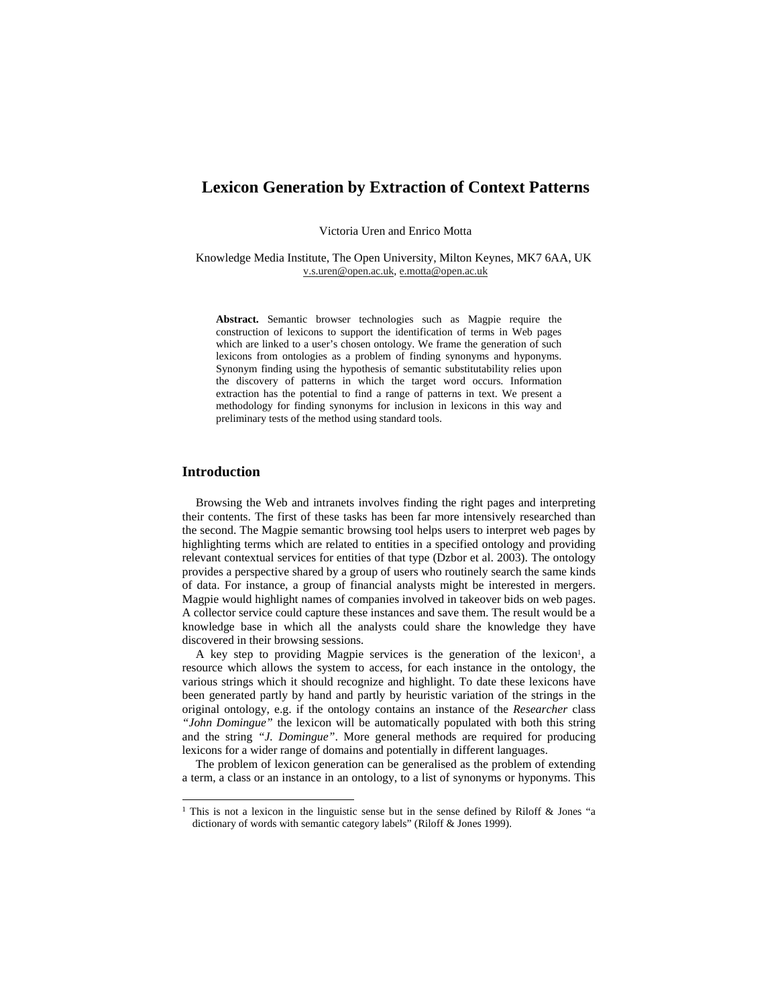# **Lexicon Generation by Extraction of Context Patterns**

Victoria Uren and Enrico Motta

Knowledge Media Institute, The Open University, Milton Keynes, MK7 6AA, UK v.s.uren@open.ac.uk, e.motta@open.ac.uk

**Abstract.** Semantic browser technologies such as Magpie require the construction of lexicons to support the identification of terms in Web pages which are linked to a user's chosen ontology. We frame the generation of such lexicons from ontologies as a problem of finding synonyms and hyponyms. Synonym finding using the hypothesis of semantic substitutability relies upon the discovery of patterns in which the target word occurs. Information extraction has the potential to find a range of patterns in text. We present a methodology for finding synonyms for inclusion in lexicons in this way and preliminary tests of the method using standard tools.

### **Introduction**

 $\overline{\phantom{0}}$ 

Browsing the Web and intranets involves finding the right pages and interpreting their contents. The first of these tasks has been far more intensively researched than the second. The Magpie semantic browsing tool helps users to interpret web pages by highlighting terms which are related to entities in a specified ontology and providing relevant contextual services for entities of that type (Dzbor et al. 2003). The ontology provides a perspective shared by a group of users who routinely search the same kinds of data. For instance, a group of financial analysts might be interested in mergers. Magpie would highlight names of companies involved in takeover bids on web pages. A collector service could capture these instances and save them. The result would be a knowledge base in which all the analysts could share the knowledge they have discovered in their browsing sessions.

A key step to providing Magpie services is the generation of the lexicon<sup>1</sup>, a resource which allows the system to access, for each instance in the ontology, the various strings which it should recognize and highlight. To date these lexicons have been generated partly by hand and partly by heuristic variation of the strings in the original ontology, e.g. if the ontology contains an instance of the *Researcher* class *"John Domingue"* the lexicon will be automatically populated with both this string and the string *"J. Domingue"*. More general methods are required for producing lexicons for a wider range of domains and potentially in different languages.

The problem of lexicon generation can be generalised as the problem of extending a term, a class or an instance in an ontology, to a list of synonyms or hyponyms. This

<sup>&</sup>lt;sup>1</sup> This is not a lexicon in the linguistic sense but in the sense defined by Riloff & Jones "a dictionary of words with semantic category labels" (Riloff & Jones 1999).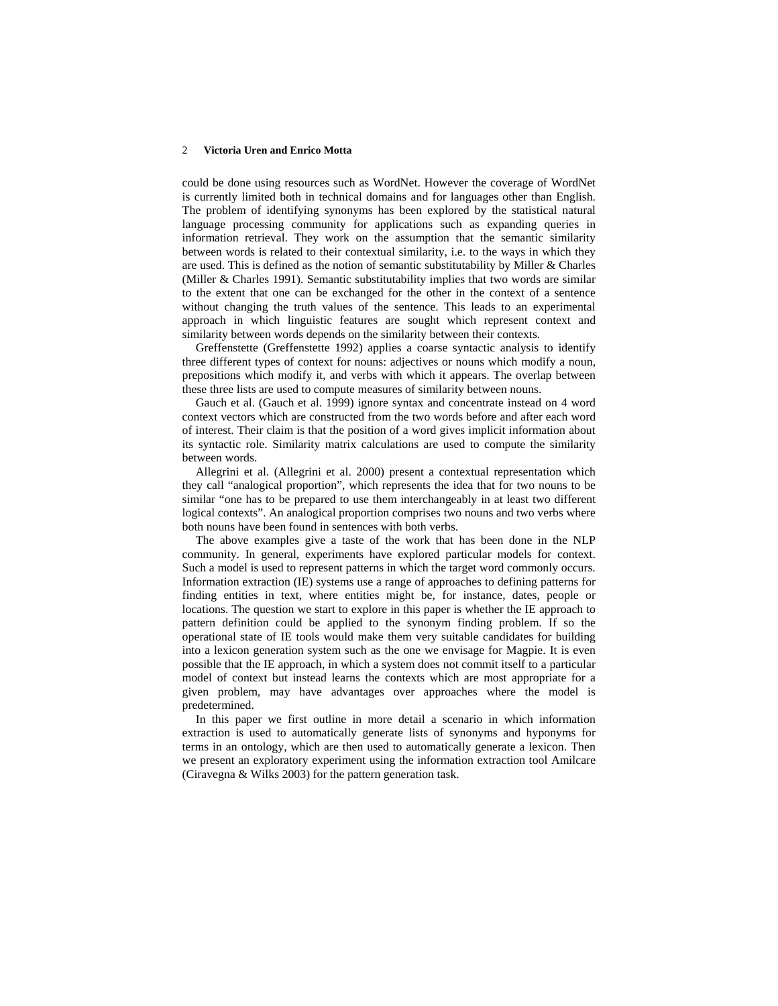### 2 **Victoria Uren and Enrico Motta**

could be done using resources such as WordNet. However the coverage of WordNet is currently limited both in technical domains and for languages other than English. The problem of identifying synonyms has been explored by the statistical natural language processing community for applications such as expanding queries in information retrieval. They work on the assumption that the semantic similarity between words is related to their contextual similarity, i.e. to the ways in which they are used. This is defined as the notion of semantic substitutability by Miller & Charles (Miller & Charles 1991). Semantic substitutability implies that two words are similar to the extent that one can be exchanged for the other in the context of a sentence without changing the truth values of the sentence. This leads to an experimental approach in which linguistic features are sought which represent context and similarity between words depends on the similarity between their contexts.

Greffenstette (Greffenstette 1992) applies a coarse syntactic analysis to identify three different types of context for nouns: adjectives or nouns which modify a noun, prepositions which modify it, and verbs with which it appears. The overlap between these three lists are used to compute measures of similarity between nouns.

Gauch et al. (Gauch et al. 1999) ignore syntax and concentrate instead on 4 word context vectors which are constructed from the two words before and after each word of interest. Their claim is that the position of a word gives implicit information about its syntactic role. Similarity matrix calculations are used to compute the similarity between words.

Allegrini et al. (Allegrini et al. 2000) present a contextual representation which they call "analogical proportion", which represents the idea that for two nouns to be similar "one has to be prepared to use them interchangeably in at least two different logical contexts". An analogical proportion comprises two nouns and two verbs where both nouns have been found in sentences with both verbs.

The above examples give a taste of the work that has been done in the NLP community. In general, experiments have explored particular models for context. Such a model is used to represent patterns in which the target word commonly occurs. Information extraction (IE) systems use a range of approaches to defining patterns for finding entities in text, where entities might be, for instance, dates, people or locations. The question we start to explore in this paper is whether the IE approach to pattern definition could be applied to the synonym finding problem. If so the operational state of IE tools would make them very suitable candidates for building into a lexicon generation system such as the one we envisage for Magpie. It is even possible that the IE approach, in which a system does not commit itself to a particular model of context but instead learns the contexts which are most appropriate for a given problem, may have advantages over approaches where the model is predetermined.

In this paper we first outline in more detail a scenario in which information extraction is used to automatically generate lists of synonyms and hyponyms for terms in an ontology, which are then used to automatically generate a lexicon. Then we present an exploratory experiment using the information extraction tool Amilcare (Ciravegna & Wilks 2003) for the pattern generation task.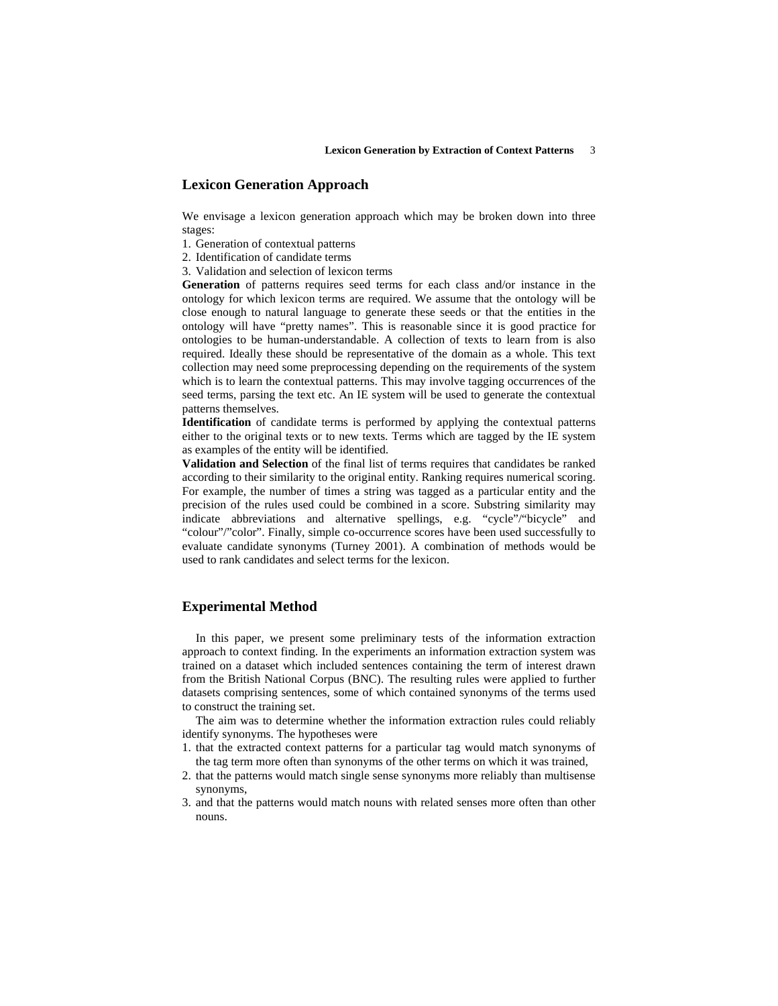## **Lexicon Generation Approach**

We envisage a lexicon generation approach which may be broken down into three stages:

- 1. Generation of contextual patterns
- 2. Identification of candidate terms
- 3. Validation and selection of lexicon terms

**Generation** of patterns requires seed terms for each class and/or instance in the ontology for which lexicon terms are required. We assume that the ontology will be close enough to natural language to generate these seeds or that the entities in the ontology will have "pretty names". This is reasonable since it is good practice for ontologies to be human-understandable. A collection of texts to learn from is also required. Ideally these should be representative of the domain as a whole. This text collection may need some preprocessing depending on the requirements of the system which is to learn the contextual patterns. This may involve tagging occurrences of the seed terms, parsing the text etc. An IE system will be used to generate the contextual patterns themselves.

**Identification** of candidate terms is performed by applying the contextual patterns either to the original texts or to new texts. Terms which are tagged by the IE system as examples of the entity will be identified.

**Validation and Selection** of the final list of terms requires that candidates be ranked according to their similarity to the original entity. Ranking requires numerical scoring. For example, the number of times a string was tagged as a particular entity and the precision of the rules used could be combined in a score. Substring similarity may indicate abbreviations and alternative spellings, e.g. "cycle"/"bicycle" and "colour"/"color". Finally, simple co-occurrence scores have been used successfully to evaluate candidate synonyms (Turney 2001). A combination of methods would be used to rank candidates and select terms for the lexicon.

## **Experimental Method**

In this paper, we present some preliminary tests of the information extraction approach to context finding. In the experiments an information extraction system was trained on a dataset which included sentences containing the term of interest drawn from the British National Corpus (BNC). The resulting rules were applied to further datasets comprising sentences, some of which contained synonyms of the terms used to construct the training set.

The aim was to determine whether the information extraction rules could reliably identify synonyms. The hypotheses were

- 1. that the extracted context patterns for a particular tag would match synonyms of the tag term more often than synonyms of the other terms on which it was trained,
- 2. that the patterns would match single sense synonyms more reliably than multisense synonyms,
- 3. and that the patterns would match nouns with related senses more often than other nouns.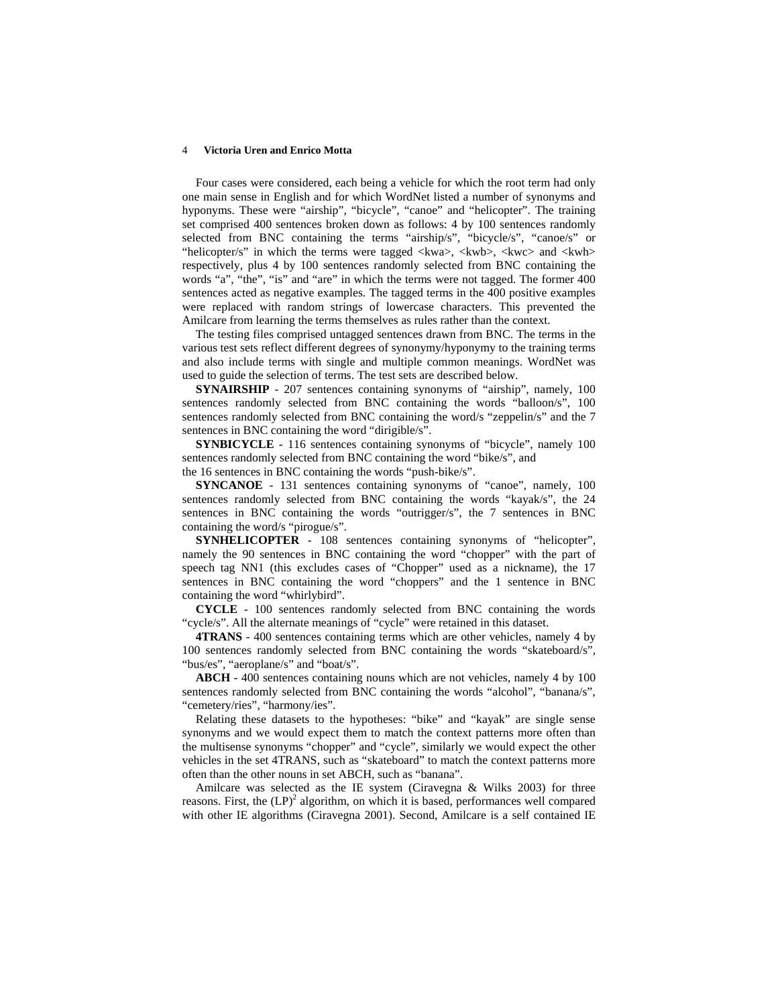#### 4 **Victoria Uren and Enrico Motta**

Four cases were considered, each being a vehicle for which the root term had only one main sense in English and for which WordNet listed a number of synonyms and hyponyms. These were "airship", "bicycle", "canoe" and "helicopter". The training set comprised 400 sentences broken down as follows: 4 by 100 sentences randomly selected from BNC containing the terms "airship/s", "bicycle/s", "canoe/s" or "helicopter/s" in which the terms were tagged <kwa>, <kwb>, <kwc> and <kwh> respectively, plus 4 by 100 sentences randomly selected from BNC containing the words "a", "the", "is" and "are" in which the terms were not tagged. The former 400 sentences acted as negative examples. The tagged terms in the 400 positive examples were replaced with random strings of lowercase characters. This prevented the Amilcare from learning the terms themselves as rules rather than the context.

The testing files comprised untagged sentences drawn from BNC. The terms in the various test sets reflect different degrees of synonymy/hyponymy to the training terms and also include terms with single and multiple common meanings. WordNet was used to guide the selection of terms. The test sets are described below.

**SYNAIRSHIP** - 207 sentences containing synonyms of "airship", namely, 100 sentences randomly selected from BNC containing the words "balloon/s", 100 sentences randomly selected from BNC containing the word/s "zeppelin/s" and the 7 sentences in BNC containing the word "dirigible/s".

**SYNBICYCLE** - 116 sentences containing synonyms of "bicycle", namely 100 sentences randomly selected from BNC containing the word "bike/s", and the 16 sentences in BNC containing the words "push-bike/s".

**SYNCANOE** - 131 sentences containing synonyms of "canoe", namely, 100 sentences randomly selected from BNC containing the words "kayak/s", the 24 sentences in BNC containing the words "outrigger/s", the 7 sentences in BNC containing the word/s "pirogue/s".

**SYNHELICOPTER** - 108 sentences containing synonyms of "helicopter", namely the 90 sentences in BNC containing the word "chopper" with the part of speech tag NN1 (this excludes cases of "Chopper" used as a nickname), the 17 sentences in BNC containing the word "choppers" and the 1 sentence in BNC containing the word "whirlybird".

**CYCLE** - 100 sentences randomly selected from BNC containing the words "cycle/s". All the alternate meanings of "cycle" were retained in this dataset.

**4TRANS** - 400 sentences containing terms which are other vehicles, namely 4 by 100 sentences randomly selected from BNC containing the words "skateboard/s", "bus/es", "aeroplane/s" and "boat/s".

**ABCH** - 400 sentences containing nouns which are not vehicles, namely 4 by 100 sentences randomly selected from BNC containing the words "alcohol", "banana/s", "cemetery/ries", "harmony/ies".

Relating these datasets to the hypotheses: "bike" and "kayak" are single sense synonyms and we would expect them to match the context patterns more often than the multisense synonyms "chopper" and "cycle", similarly we would expect the other vehicles in the set 4TRANS, such as "skateboard" to match the context patterns more often than the other nouns in set ABCH, such as "banana".

Amilcare was selected as the IE system (Ciravegna & Wilks 2003) for three reasons. First, the  $(LP)^2$  algorithm, on which it is based, performances well compared with other IE algorithms (Ciravegna 2001). Second, Amilcare is a self contained IE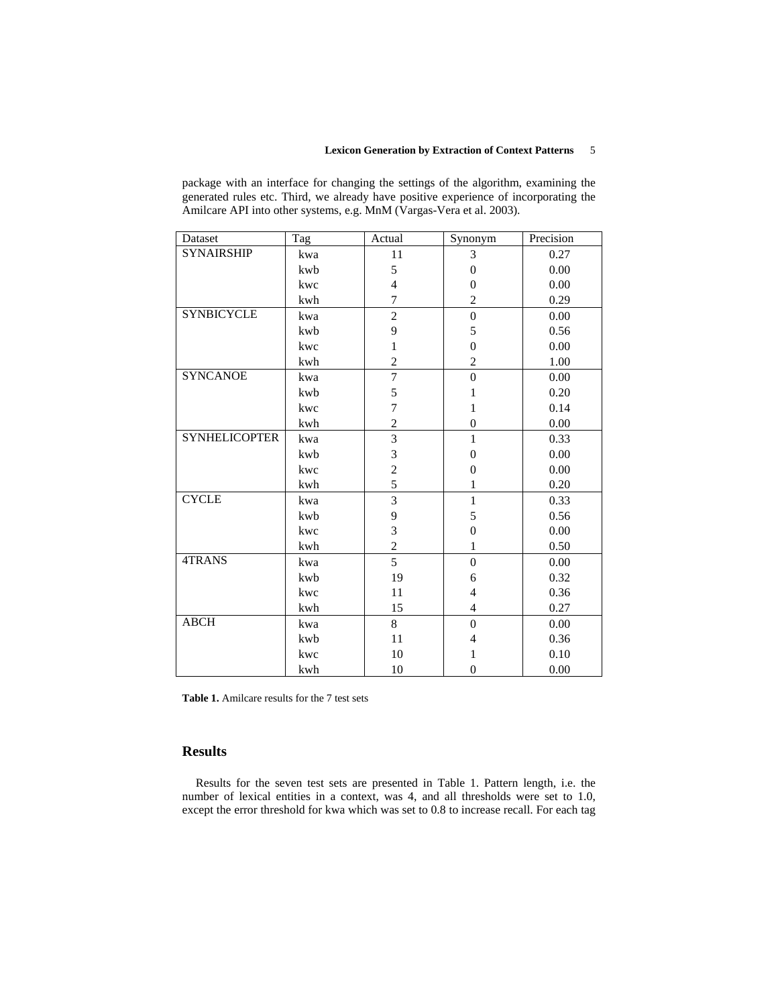### **Lexicon Generation by Extraction of Context Patterns** 5

package with an interface for changing the settings of the algorithm, examining the generated rules etc. Third, we already have positive experience of incorporating the Amilcare API into other systems, e.g. MnM (Vargas-Vera et al. 2003).

| Dataset              | Tag | Actual         | Synonym          | Precision |
|----------------------|-----|----------------|------------------|-----------|
| <b>SYNAIRSHIP</b>    | kwa | 11             | 3                | 0.27      |
|                      | kwb | 5              | $\theta$         | 0.00      |
|                      | kwc | $\overline{4}$ | $\boldsymbol{0}$ | 0.00      |
|                      | kwh | $\overline{7}$ | $\overline{c}$   | 0.29      |
| <b>SYNBICYCLE</b>    | kwa | $\overline{c}$ | $\mathbf{0}$     | 0.00      |
|                      | kwb | 9              | 5                | 0.56      |
|                      | kwc | 1              | $\boldsymbol{0}$ | 0.00      |
|                      | kwh | $\overline{c}$ | $\overline{c}$   | 1.00      |
| <b>SYNCANOE</b>      | kwa | $\overline{7}$ | $\boldsymbol{0}$ | 0.00      |
|                      | kwb | 5              | $\mathbf{1}$     | 0.20      |
|                      | kwc | 7              | $\mathbf{1}$     | 0.14      |
|                      | kwh | $\overline{c}$ | $\boldsymbol{0}$ | 0.00      |
| <b>SYNHELICOPTER</b> | kwa | $\overline{3}$ | $\mathbf{1}$     | 0.33      |
|                      | kwb | 3              | $\boldsymbol{0}$ | 0.00      |
|                      | kwc | $\overline{c}$ | $\boldsymbol{0}$ | 0.00      |
|                      | kwh | 5              | 1                | 0.20      |
| <b>CYCLE</b>         | kwa | $\overline{3}$ | $\mathbf{1}$     | 0.33      |
|                      | kwb | 9              | 5                | 0.56      |
|                      | kwc | $\overline{3}$ | $\overline{0}$   | 0.00      |
|                      | kwh | $\overline{c}$ | $\mathbf{1}$     | 0.50      |
| 4TRANS               | kwa | 5              | $\overline{0}$   | 0.00      |
|                      | kwb | 19             | 6                | 0.32      |
|                      | kwc | 11             | $\overline{4}$   | 0.36      |
|                      | kwh | 15             | 4                | 0.27      |
| <b>ABCH</b>          | kwa | 8              | $\overline{0}$   | 0.00      |
|                      | kwb | 11             | 4                | 0.36      |
|                      | kwc | 10             | 1                | 0.10      |
|                      | kwh | 10             | $\boldsymbol{0}$ | 0.00      |

**Table 1.** Amilcare results for the 7 test sets

## **Results**

Results for the seven test sets are presented in Table 1. Pattern length, i.e. the number of lexical entities in a context, was 4, and all thresholds were set to 1.0, except the error threshold for kwa which was set to 0.8 to increase recall. For each tag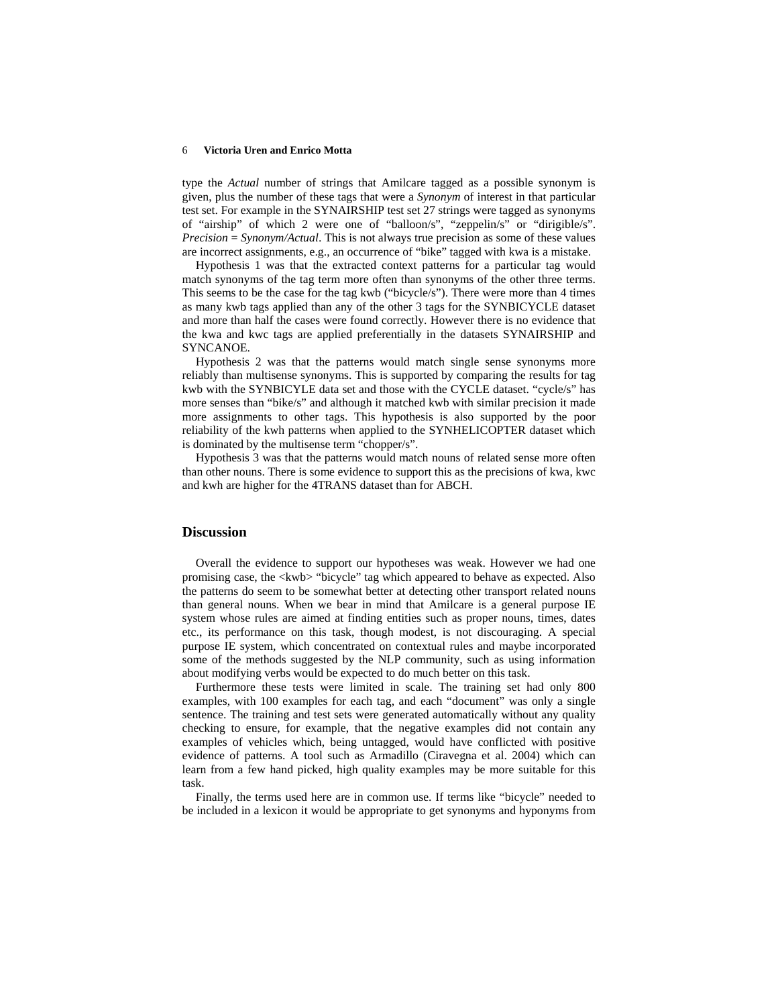#### 6 **Victoria Uren and Enrico Motta**

type the *Actual* number of strings that Amilcare tagged as a possible synonym is given, plus the number of these tags that were a *Synonym* of interest in that particular test set. For example in the SYNAIRSHIP test set 27 strings were tagged as synonyms of "airship" of which 2 were one of "balloon/s", "zeppelin/s" or "dirigible/s". *Precision* = *Synonym/Actual*. This is not always true precision as some of these values are incorrect assignments, e.g., an occurrence of "bike" tagged with kwa is a mistake.

Hypothesis 1 was that the extracted context patterns for a particular tag would match synonyms of the tag term more often than synonyms of the other three terms. This seems to be the case for the tag kwb ("bicycle/s"). There were more than 4 times as many kwb tags applied than any of the other 3 tags for the SYNBICYCLE dataset and more than half the cases were found correctly. However there is no evidence that the kwa and kwc tags are applied preferentially in the datasets SYNAIRSHIP and SYNCANOE.

Hypothesis 2 was that the patterns would match single sense synonyms more reliably than multisense synonyms. This is supported by comparing the results for tag kwb with the SYNBICYLE data set and those with the CYCLE dataset. "cycle/s" has more senses than "bike/s" and although it matched kwb with similar precision it made more assignments to other tags. This hypothesis is also supported by the poor reliability of the kwh patterns when applied to the SYNHELICOPTER dataset which is dominated by the multisense term "chopper/s".

Hypothesis 3 was that the patterns would match nouns of related sense more often than other nouns. There is some evidence to support this as the precisions of kwa, kwc and kwh are higher for the 4TRANS dataset than for ABCH.

### **Discussion**

Overall the evidence to support our hypotheses was weak. However we had one promising case, the <kwb> "bicycle" tag which appeared to behave as expected. Also the patterns do seem to be somewhat better at detecting other transport related nouns than general nouns. When we bear in mind that Amilcare is a general purpose IE system whose rules are aimed at finding entities such as proper nouns, times, dates etc., its performance on this task, though modest, is not discouraging. A special purpose IE system, which concentrated on contextual rules and maybe incorporated some of the methods suggested by the NLP community, such as using information about modifying verbs would be expected to do much better on this task.

Furthermore these tests were limited in scale. The training set had only 800 examples, with 100 examples for each tag, and each "document" was only a single sentence. The training and test sets were generated automatically without any quality checking to ensure, for example, that the negative examples did not contain any examples of vehicles which, being untagged, would have conflicted with positive evidence of patterns. A tool such as Armadillo (Ciravegna et al. 2004) which can learn from a few hand picked, high quality examples may be more suitable for this task.

Finally, the terms used here are in common use. If terms like "bicycle" needed to be included in a lexicon it would be appropriate to get synonyms and hyponyms from